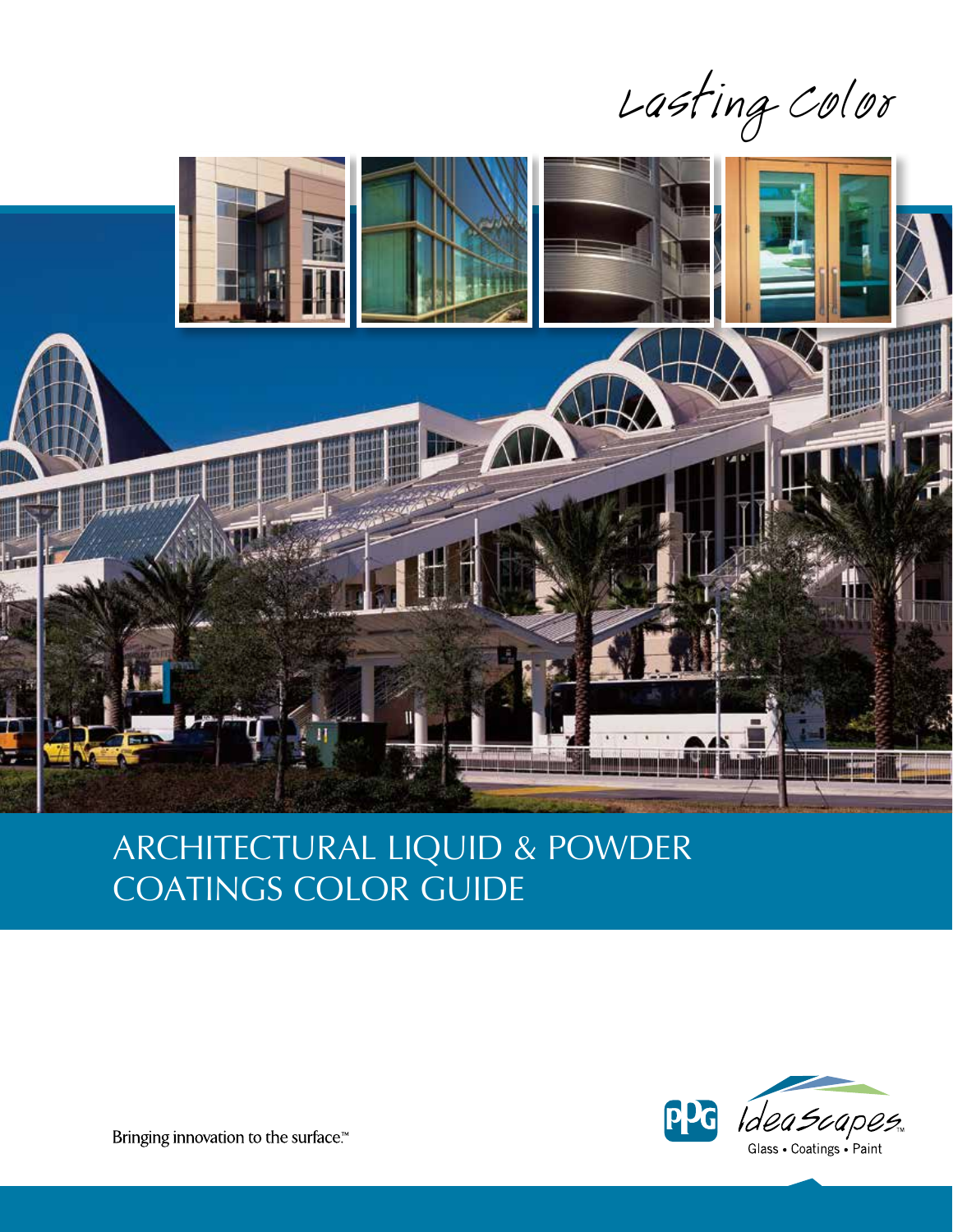Lasting Color



# Architectural LIQUID & POWDER COATINGS COLOR GUIDE



Bringing innovation to the surface.™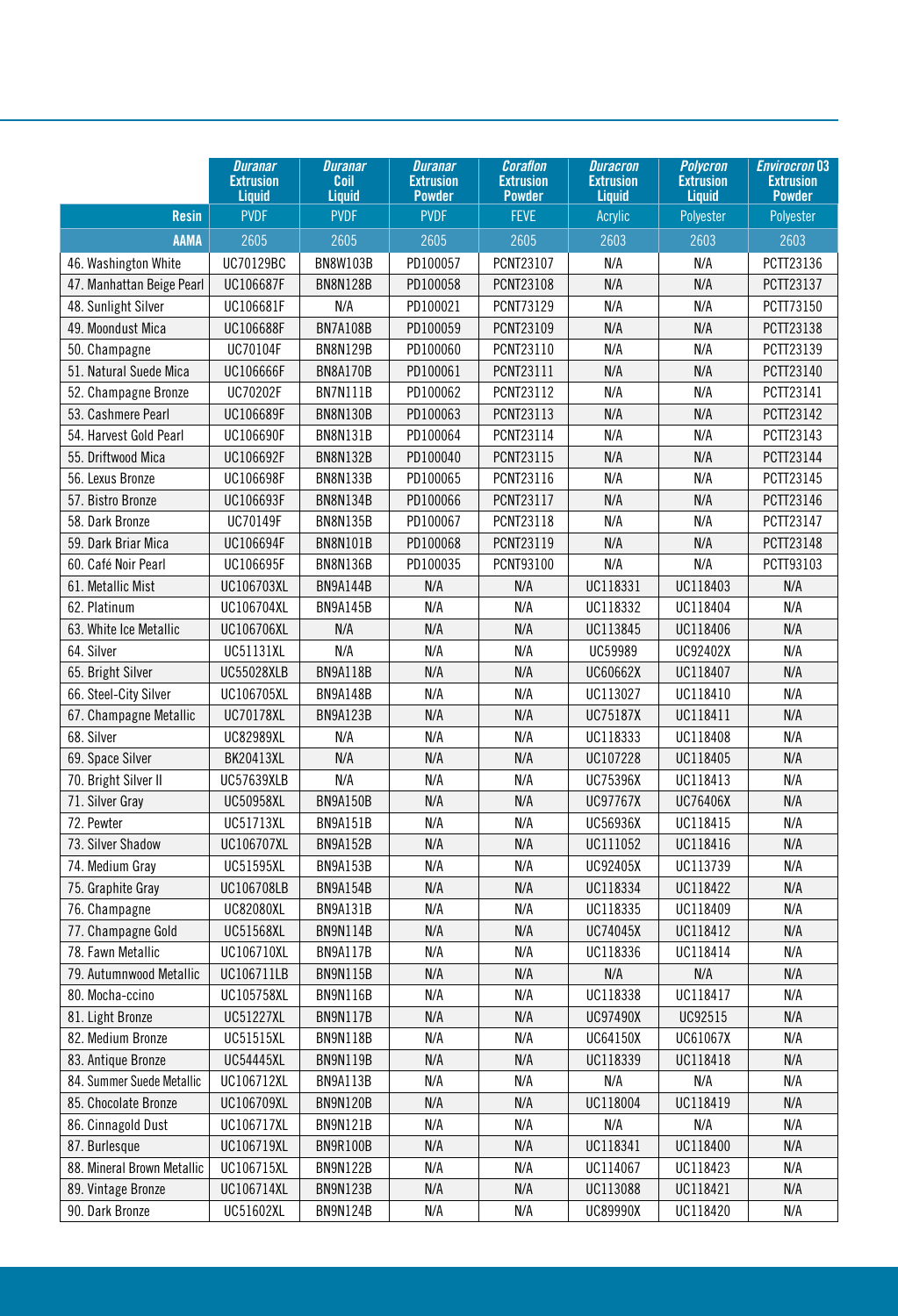|                            | <b>Duranar</b><br><b>Extrusion</b><br><b>Liquid</b> | <b>Duranar</b><br>Coil<br><b>Liquid</b> | <b>Duranar</b><br><b>Extrusion</b><br><b>Powder</b> | <b>Coraflon</b><br><b>Extrusion</b><br><b>Powder</b> | <b>Duracron</b><br><b>Extrusion</b><br><b>Liquid</b> | <b>Polycron</b><br><b>Extrusion</b><br><b>Liquid</b> | <b>Envirocron 03</b><br><b>Extrusion</b><br><b>Powder</b> |
|----------------------------|-----------------------------------------------------|-----------------------------------------|-----------------------------------------------------|------------------------------------------------------|------------------------------------------------------|------------------------------------------------------|-----------------------------------------------------------|
| <b>Resin</b>               | <b>PVDF</b>                                         | <b>PVDF</b>                             | <b>PVDF</b>                                         | <b>FEVE</b>                                          | Acrylic                                              | Polyester                                            | Polyester                                                 |
| <b>AAMA</b>                | 2605                                                | 2605                                    | 2605                                                | 2605                                                 | 2603                                                 | 2603                                                 | 2603                                                      |
| 46. Washington White       | UC70129BC                                           | <b>BN8W103B</b>                         | PD100057                                            | PCNT23107                                            | N/A                                                  | N/A                                                  | PCTT23136                                                 |
| 47. Manhattan Beige Pearl  | UC106687F                                           | <b>BN8N128B</b>                         | PD100058                                            | PCNT23108                                            | N/A                                                  | N/A                                                  | PCTT23137                                                 |
| 48. Sunlight Silver        | UC106681F                                           | N/A                                     | PD100021                                            | PCNT73129                                            | N/A                                                  | N/A                                                  | PCTT73150                                                 |
| 49. Moondust Mica          | UC106688F                                           | <b>BN7A108B</b>                         | PD100059                                            | PCNT23109                                            | N/A                                                  | N/A                                                  | PCTT23138                                                 |
| 50. Champagne              | UC70104F                                            | <b>BN8N129B</b>                         | PD100060                                            | PCNT23110                                            | N/A                                                  | N/A                                                  | PCTT23139                                                 |
| 51. Natural Suede Mica     | UC106666F                                           | <b>BN8A170B</b>                         | PD100061                                            | PCNT23111                                            | N/A                                                  | N/A                                                  | PCTT23140                                                 |
| 52. Champagne Bronze       | UC70202F                                            | <b>BN7N111B</b>                         | PD100062                                            | PCNT23112                                            | N/A                                                  | N/A                                                  | PCTT23141                                                 |
| 53. Cashmere Pearl         | UC106689F                                           | <b>BN8N130B</b>                         | PD100063                                            | PCNT23113                                            | N/A                                                  | N/A                                                  | PCTT23142                                                 |
| 54. Harvest Gold Pearl     | UC106690F                                           | <b>BN8N131B</b>                         | PD100064                                            | PCNT23114                                            | N/A                                                  | N/A                                                  | PCTT23143                                                 |
| 55. Driftwood Mica         | UC106692F                                           | <b>BN8N132B</b>                         | PD100040                                            | PCNT23115                                            | N/A                                                  | N/A                                                  | PCTT23144                                                 |
| 56. Lexus Bronze           | UC106698F                                           | <b>BN8N133B</b>                         | PD100065                                            | PCNT23116                                            | N/A                                                  | N/A                                                  | PCTT23145                                                 |
| 57. Bistro Bronze          | UC106693F                                           | <b>BN8N134B</b>                         | PD100066                                            | PCNT23117                                            | N/A                                                  | N/A                                                  | PCTT23146                                                 |
| 58. Dark Bronze            | UC70149F                                            | <b>BN8N135B</b>                         | PD100067                                            | PCNT23118                                            | N/A                                                  | N/A                                                  | PCTT23147                                                 |
| 59. Dark Briar Mica        | UC106694F                                           | <b>BN8N101B</b>                         | PD100068                                            | PCNT23119                                            | N/A                                                  | N/A                                                  | PCTT23148                                                 |
| 60. Café Noir Pearl        | UC106695F                                           | <b>BN8N136B</b>                         | PD100035                                            | PCNT93100                                            | N/A                                                  | N/A                                                  | PCTT93103                                                 |
| 61. Metallic Mist          | UC106703XL                                          | <b>BN9A144B</b>                         | N/A                                                 | N/A                                                  | UC118331                                             | UC118403                                             | N/A                                                       |
| 62. Platinum               | UC106704XL                                          | <b>BN9A145B</b>                         | N/A                                                 | N/A                                                  | UC118332                                             | UC118404                                             | N/A                                                       |
| 63. White Ice Metallic     | UC106706XL                                          | N/A                                     | N/A                                                 | N/A                                                  | UC113845                                             | UC118406                                             | N/A                                                       |
| 64. Silver                 | UC51131XL                                           | N/A                                     | N/A                                                 | N/A                                                  | UC59989                                              | UC92402X                                             | N/A                                                       |
| 65. Bright Silver          | <b>UC55028XLB</b>                                   | <b>BN9A118B</b>                         | N/A                                                 | N/A                                                  | UC60662X                                             | UC118407                                             | N/A                                                       |
| 66. Steel-City Silver      | UC106705XL                                          | <b>BN9A148B</b>                         | N/A                                                 | N/A                                                  | UC113027                                             | UC118410                                             | N/A                                                       |
| 67. Champagne Metallic     | <b>UC70178XL</b>                                    | <b>BN9A123B</b>                         | N/A                                                 | N/A                                                  | <b>UC75187X</b>                                      | UC118411                                             | N/A                                                       |
| 68. Silver                 | <b>UC82989XL</b>                                    | N/A                                     | N/A                                                 | N/A                                                  | UC118333                                             | UC118408                                             | N/A                                                       |
| 69. Space Silver           | BK20413XL                                           | N/A                                     | N/A                                                 | N/A                                                  | UC107228                                             | UC118405                                             | N/A                                                       |
| 70. Bright Silver II       | <b>UC57639XLB</b>                                   | N/A                                     | N/A                                                 | N/A                                                  | UC75396X                                             | UC118413                                             | N/A                                                       |
| 71. Silver Gray            | <b>UC50958XL</b>                                    | <b>BN9A150B</b>                         | N/A                                                 | N/A                                                  | <b>UC97767X</b>                                      | UC76406X                                             | N/A                                                       |
| 72. Pewter                 | UC51713XL                                           | <b>BN9A151B</b>                         | N/A                                                 | N/A                                                  | UC56936X                                             | UC118415                                             | N/A                                                       |
| 73. Silver Shadow          | UC106707XL                                          | <b>BN9A152B</b>                         | N/A                                                 | N/A                                                  | UC111052                                             | UC118416                                             | N/A                                                       |
| 74. Medium Gray            | UC51595XL                                           | <b>BN9A153B</b>                         | N/A                                                 | N/A                                                  | UC92405X                                             | UC113739                                             | N/A                                                       |
| 75. Graphite Gray          | UC106708LB                                          | <b>BN9A154B</b>                         | N/A                                                 | N/A                                                  | UC118334                                             | UC118422                                             | N/A                                                       |
| 76. Champagne              | UC82080XL                                           | BN9A131B                                | N/A                                                 | N/A                                                  | UC118335                                             | UC118409                                             | N/A                                                       |
| 77. Champagne Gold         | UC51568XL                                           | <b>BN9N114B</b>                         | N/A                                                 | N/A                                                  | UC74045X                                             | UC118412                                             | N/A                                                       |
| 78. Fawn Metallic          | UC106710XL                                          | <b>BN9A117B</b>                         | N/A                                                 | N/A                                                  | UC118336                                             | UC118414                                             | N/A                                                       |
| 79. Autumnwood Metallic    | UC106711LB                                          | <b>BN9N115B</b>                         | N/A                                                 | N/A                                                  | N/A                                                  | N/A                                                  | N/A                                                       |
| 80. Mocha-ccino            | UC105758XL                                          | <b>BN9N116B</b>                         | N/A                                                 | N/A                                                  | UC118338                                             | UC118417                                             | N/A                                                       |
| 81. Light Bronze           | <b>UC51227XL</b>                                    | <b>BN9N117B</b>                         | N/A                                                 | N/A                                                  | UC97490X                                             | UC92515                                              | N/A                                                       |
| 82. Medium Bronze          | UC51515XL                                           | <b>BN9N118B</b>                         | N/A                                                 | N/A                                                  | UC64150X                                             | UC61067X                                             | N/A                                                       |
| 83. Antique Bronze         | UC54445XL                                           | <b>BN9N119B</b>                         | N/A                                                 | N/A                                                  | UC118339                                             | UC118418                                             | N/A                                                       |
| 84. Summer Suede Metallic  | UC106712XL                                          | BN9A113B                                | N/A                                                 | N/A                                                  | N/A                                                  | N/A                                                  | N/A                                                       |
| 85. Chocolate Bronze       | UC106709XL                                          | <b>BN9N120B</b>                         | N/A                                                 | N/A                                                  | UC118004                                             | UC118419                                             | N/A                                                       |
| 86. Cinnagold Dust         | UC106717XL                                          | BN9N121B                                | N/A                                                 | N/A                                                  | N/A                                                  | N/A                                                  | N/A                                                       |
| 87. Burlesque              | UC106719XL                                          | <b>BN9R100B</b>                         | N/A                                                 | N/A                                                  | UC118341                                             | UC118400                                             | N/A                                                       |
| 88. Mineral Brown Metallic | UC106715XL                                          | <b>BN9N122B</b>                         | N/A                                                 | N/A                                                  | UC114067                                             | UC118423                                             | N/A                                                       |
| 89. Vintage Bronze         | UC106714XL                                          | <b>BN9N123B</b>                         | N/A                                                 | N/A                                                  | UC113088                                             | UC118421                                             | N/A                                                       |
| 90. Dark Bronze            | UC51602XL                                           | <b>BN9N124B</b>                         | N/A                                                 | N/A                                                  | UC89990X                                             | UC118420                                             | N/A                                                       |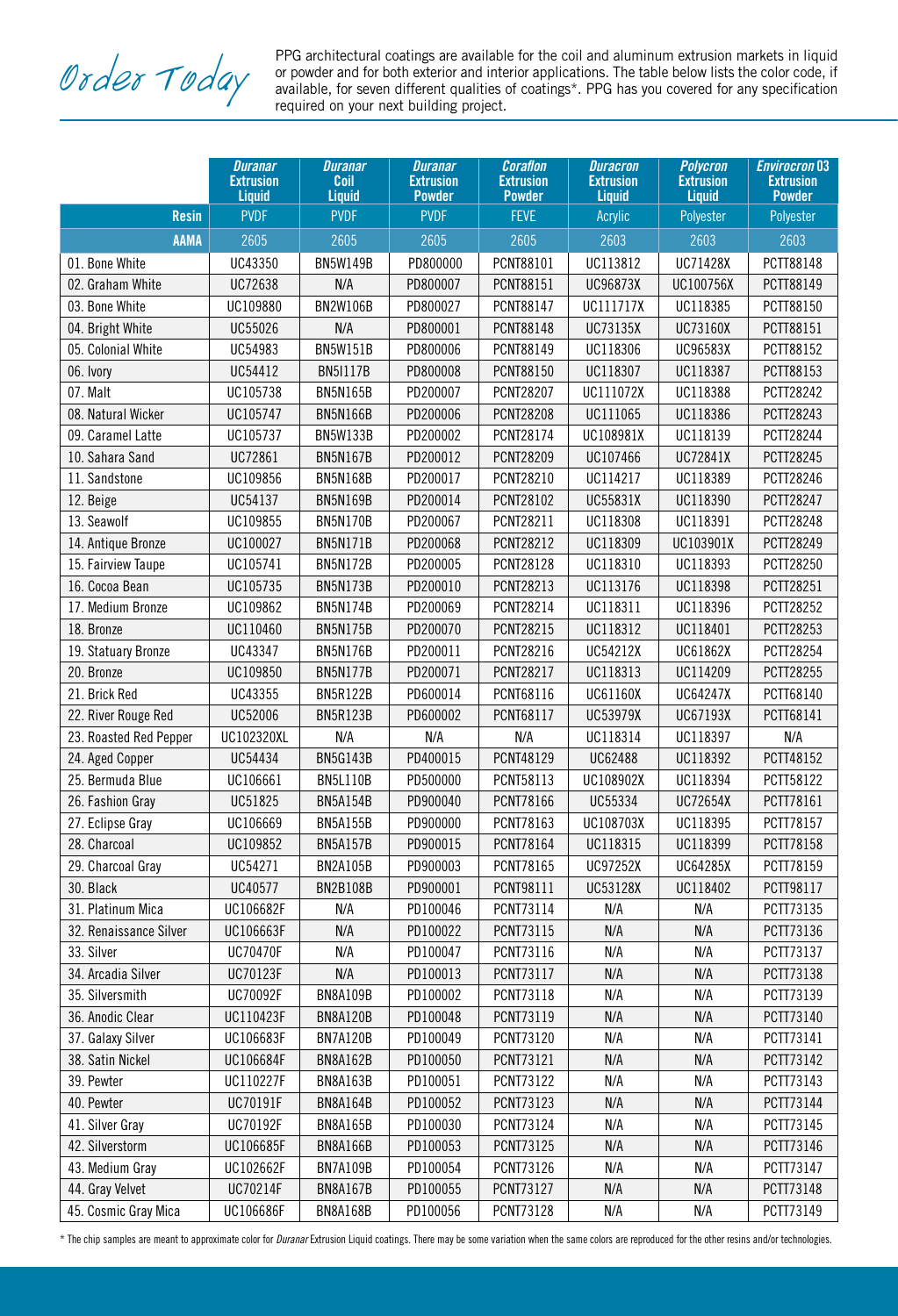PPG architectural coatings are available for the coil and aluminum extrusion markets in liquid<br>or powder and for both exterior and interior applications. The table below lists the color code, if<br>available, for seven diffe or powder and for both exterior and interior applications. The table below lists the color code, if available, for seven different qualities of coatings\*. PPG has you covered for any specification required on your next building project.

|                        | <b>Duranar</b><br><b>Extrusion</b> | <b>Duranar</b><br>Coil             | <b>Duranar</b><br><b>Extrusion</b> | <b>Coraflon</b><br><b>Extrusion</b> | <b>Duracron</b><br><b>Extrusion</b> | <b>Polycron</b><br><b>Extrusion</b> | <b>Envirocron 03</b><br><b>Extrusion</b> |
|------------------------|------------------------------------|------------------------------------|------------------------------------|-------------------------------------|-------------------------------------|-------------------------------------|------------------------------------------|
| <b>Resin</b>           | <b>Liquid</b><br><b>PVDF</b>       | <b>Liquid</b><br><b>PVDF</b>       | <b>Powder</b><br><b>PVDF</b>       | <b>Powder</b><br><b>FEVE</b>        | <b>Liquid</b><br>Acrylic            | <b>Liquid</b><br>Polyester          | <b>Powder</b><br>Polyester               |
| <b>AAMA</b>            | 2605                               | 2605                               | 2605                               | 2605                                | 2603                                | 2603                                | 2603                                     |
| 01. Bone White         | UC43350                            | <b>BN5W149B</b>                    | PD800000                           | PCNT88101                           | UC113812                            | UC71428X                            | PCTT88148                                |
| 02. Graham White       | UC72638                            | N/A                                | PD800007                           | PCNT88151                           | UC96873X                            | UC100756X                           | PCTT88149                                |
| 03. Bone White         | UC109880                           | <b>BN2W106B</b>                    | PD800027                           | PCNT88147                           | UC111717X                           | UC118385                            | PCTT88150                                |
| 04. Bright White       | UC55026                            | N/A                                | PD800001                           | PCNT88148                           | UC73135X                            | UC73160X                            | PCTT88151                                |
| 05. Colonial White     | UC54983                            | <b>BN5W151B</b>                    | PD800006                           | PCNT88149                           | UC118306                            | UC96583X                            | PCTT88152                                |
| 06. Ivory              | UC54412                            | <b>BN5I117B</b>                    | PD800008                           | PCNT88150                           | UC118307                            | UC118387                            | PCTT88153                                |
| 07. Malt               | UC105738                           | <b>BN5N165B</b>                    | PD200007                           | PCNT28207                           | UC111072X                           | UC118388                            | PCTT28242                                |
| 08. Natural Wicker     | UC105747                           | <b>BN5N166B</b>                    | PD200006                           | <b>PCNT28208</b>                    | UC111065                            | UC118386                            | PCTT28243                                |
| 09. Caramel Latte      | UC105737                           | <b>BN5W133B</b>                    | PD200002                           | PCNT28174                           | UC108981X                           | UC118139                            | PCTT28244                                |
| 10. Sahara Sand        | UC72861                            | <b>BN5N167B</b>                    | PD200012                           | PCNT28209                           | UC107466                            | UC72841X                            | PCTT28245                                |
|                        |                                    |                                    |                                    |                                     |                                     |                                     |                                          |
| 11. Sandstone          | UC109856<br>UC54137                | <b>BN5N168B</b><br><b>BN5N169B</b> | PD200017<br>PD200014               | PCNT28210<br>PCNT28102              | UC114217<br>UC55831X                | UC118389<br>UC118390                | PCTT28246<br>PCTT28247                   |
| 12. Beige              |                                    |                                    |                                    |                                     |                                     |                                     |                                          |
| 13. Seawolf            | UC109855                           | <b>BN5N170B</b>                    | PD200067                           | PCNT28211                           | UC118308                            | UC118391                            | PCTT28248                                |
| 14. Antique Bronze     | UC100027                           | <b>BN5N171B</b>                    | PD200068                           | PCNT28212                           | UC118309                            | UC103901X                           | PCTT28249                                |
| 15. Fairview Taupe     | UC105741                           | <b>BN5N172B</b>                    | PD200005                           | PCNT28128                           | UC118310                            | UC118393                            | PCTT28250                                |
| 16. Cocoa Bean         | UC105735                           | <b>BN5N173B</b>                    | PD200010                           | PCNT28213                           | UC113176                            | UC118398                            | PCTT28251                                |
| 17. Medium Bronze      | UC109862                           | <b>BN5N174B</b>                    | PD200069                           | PCNT28214                           | UC118311                            | UC118396                            | PCTT28252                                |
| 18. Bronze             | UC110460                           | <b>BN5N175B</b>                    | PD200070                           | PCNT28215                           | UC118312                            | UC118401                            | PCTT28253                                |
| 19. Statuary Bronze    | UC43347                            | <b>BN5N176B</b>                    | PD200011                           | PCNT28216                           | UC54212X                            | UC61862X                            | PCTT28254                                |
| 20. Bronze             | UC109850                           | <b>BN5N177B</b>                    | PD200071                           | PCNT28217                           | UC118313                            | UC114209                            | PCTT28255                                |
| 21. Brick Red          | UC43355                            | <b>BN5R122B</b>                    | PD600014                           | PCNT68116                           | UC61160X                            | UC64247X                            | PCTT68140                                |
| 22. River Rouge Red    | UC52006                            | <b>BN5R123B</b>                    | PD600002                           | PCNT68117                           | UC53979X                            | UC67193X                            | PCTT68141                                |
| 23. Roasted Red Pepper | UC102320XL                         | N/A                                | N/A                                | N/A                                 | UC118314                            | UC118397                            | N/A                                      |
| 24. Aged Copper        | UC54434                            | <b>BN5G143B</b>                    | PD400015                           | PCNT48129                           | UC62488                             | UC118392                            | PCTT48152                                |
| 25. Bermuda Blue       | UC106661                           | <b>BN5L110B</b>                    | PD500000                           | PCNT58113                           | UC108902X                           | UC118394                            | PCTT58122                                |
| 26. Fashion Gray       | UC51825                            | <b>BN5A154B</b>                    | PD900040                           | PCNT78166                           | UC55334                             | UC72654X                            | PCTT78161                                |
| 27. Eclipse Gray       | UC106669                           | <b>BN5A155B</b>                    | PD900000                           | PCNT78163                           | UC108703X                           | UC118395                            | PCTT78157                                |
| 28. Charcoal           | UC109852                           | <b>BN5A157B</b>                    | PD900015                           | PCNT78164                           | UC118315                            | UC118399                            | PCTT78158                                |
| 29. Charcoal Gray      | UC54271                            | <b>BN2A105B</b>                    | PD900003                           | PCNT78165                           | UC97252X                            | UC64285X                            | PCTT78159                                |
| 30. Black              | UC40577                            | <b>BN2B108B</b>                    | PD900001                           | PCNT98111                           | UC53128X                            | UC118402                            | PCTT98117                                |
| 31. Platinum Mica      | UC106682F                          | N/A                                | PD100046                           | PCNT73114                           | N/A                                 | N/A                                 | PCTT73135                                |
| 32. Renaissance Silver | UC106663F                          | N/A                                | PD100022                           | PCNT73115                           | N/A                                 | N/A                                 | PCTT73136                                |
| 33. Silver             | UC70470F                           | N/A                                | PD100047                           | PCNT73116                           | N/A                                 | N/A                                 | PCTT73137                                |
| 34. Arcadia Silver     | UC70123F                           | N/A                                | PD100013                           | PCNT73117                           | N/A                                 | N/A                                 | PCTT73138                                |
| 35. Silversmith        | UC70092F                           | <b>BN8A109B</b>                    | PD100002                           | PCNT73118                           | N/A                                 | N/A                                 | PCTT73139                                |
| 36. Anodic Clear       | UC110423F                          | <b>BN8A120B</b>                    | PD100048                           | PCNT73119                           | N/A                                 | N/A                                 | PCTT73140                                |
| 37. Galaxy Silver      | UC106683F                          | <b>BN7A120B</b>                    | PD100049                           | PCNT73120                           | N/A                                 | N/A                                 | PCTT73141                                |
| 38. Satin Nickel       | UC106684F                          | <b>BN8A162B</b>                    | PD100050                           | PCNT73121                           | N/A                                 | N/A                                 | PCTT73142                                |
| 39. Pewter             | UC110227F                          | <b>BN8A163B</b>                    | PD100051                           | PCNT73122                           | N/A                                 | N/A                                 | PCTT73143                                |
| 40. Pewter             | UC70191F                           | <b>BN8A164B</b>                    | PD100052                           | PCNT73123                           | N/A                                 | N/A                                 | PCTT73144                                |
| 41. Silver Gray        | UC70192F                           | <b>BN8A165B</b>                    | PD100030                           | PCNT73124                           | N/A                                 | N/A                                 | PCTT73145                                |
| 42. Silverstorm        | UC106685F                          | <b>BN8A166B</b>                    | PD100053                           | PCNT73125                           | N/A                                 | N/A                                 | PCTT73146                                |
| 43. Medium Gray        | UC102662F                          | <b>BN7A109B</b>                    | PD100054                           | PCNT73126                           | N/A                                 | N/A                                 | PCTT73147                                |
| 44. Gray Velvet        | UC70214F                           | <b>BN8A167B</b>                    | PD100055                           | PCNT73127                           | N/A                                 | N/A                                 | PCTT73148                                |
| 45. Cosmic Gray Mica   | UC106686F                          | <b>BN8A168B</b>                    | PD100056                           | PCNT73128                           | N/A                                 | N/A                                 | PCTT73149                                |

\* The chip samples are meant to approximate color for *Duranar* Extrusion Liquid coatings. There may be some variation when the same colors are reproduced for the other resins and/or technologies.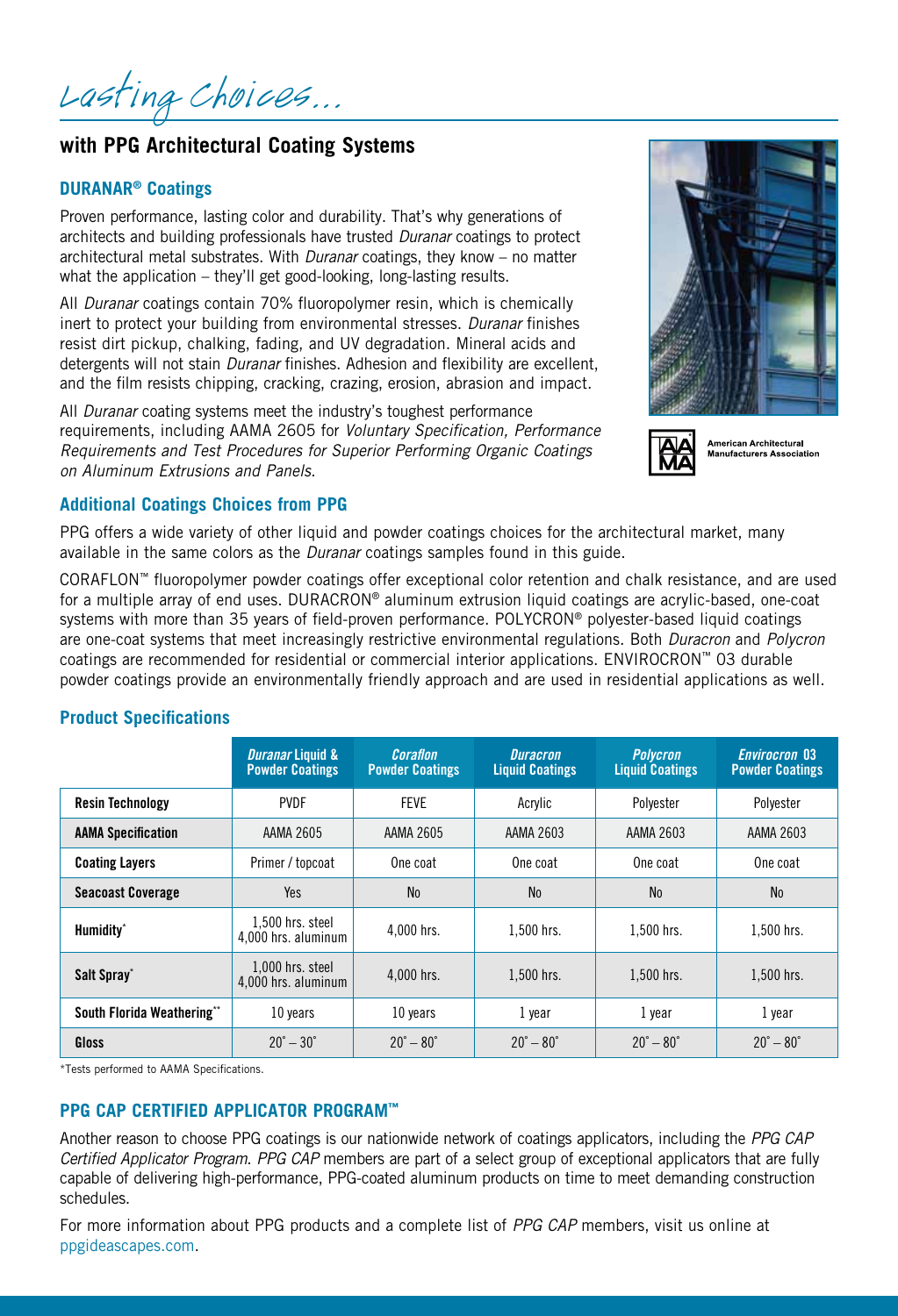Lasting Choices...

## **with PPG Architectural Coating Systems**

## **DURANAR® Coatings**

Proven performance, lasting color and durability. That's why generations of architects and building professionals have trusted *Duranar* coatings to protect architectural metal substrates. With *Duranar* coatings, they know – no matter what the application – they'll get good-looking, long-lasting results.

All *Duranar* coatings contain 70% fluoropolymer resin, which is chemically inert to protect your building from environmental stresses. *Duranar* finishes resist dirt pickup, chalking, fading, and UV degradation. Mineral acids and detergents will not stain *Duranar* finishes. Adhesion and flexibility are excellent, and the film resists chipping, cracking, crazing, erosion, abrasion and impact.

All *Duranar* coating systems meet the industry's toughest performance requirements, including AAMA 2605 for *Voluntary Specification, Performance Requirements and Test Procedures for Superior Performing Organic Coatings on Aluminum Extrusions and Panels.*





American Architectural **Manufacturers Association** 

## **Additional Coatings Choices from PPG**

PPG offers a wide variety of other liquid and powder coatings choices for the architectural market, many available in the same colors as the *Duranar* coatings samples found in this guide.

CORAFLON™ fluoropolymer powder coatings offer exceptional color retention and chalk resistance, and are used for a multiple array of end uses. DURACRON® aluminum extrusion liquid coatings are acrylic-based, one-coat systems with more than 35 years of field-proven performance. POLYCRON® polyester-based liquid coatings are one-coat systems that meet increasingly restrictive environmental regulations. Both *Duracron* and *Polycron* coatings are recommended for residential or commercial interior applications. ENVIROCRON™ 03 durable powder coatings provide an environmentally friendly approach and are used in residential applications as well.

## **Product Specifications**

|                            | <b>Duranar Liquid &amp;</b><br><b>Powder Coatings</b> | Coraflon<br><b>Powder Coatings</b> | <b>Duracron</b><br><b>Liquid Coatings</b> | <b>Polycron</b><br><b>Liquid Coatings</b> | <b>Envirocron 03</b><br><b>Powder Coatings</b> |
|----------------------------|-------------------------------------------------------|------------------------------------|-------------------------------------------|-------------------------------------------|------------------------------------------------|
| <b>Resin Technology</b>    | <b>PVDF</b>                                           | <b>FEVE</b>                        | Acrylic                                   | Polyester                                 | Polyester                                      |
| <b>AAMA Specification</b>  | AAMA 2605                                             | AAMA 2605                          | AAMA 2603                                 | AAMA 2603                                 | AAMA 2603                                      |
| <b>Coating Layers</b>      | Primer / topcoat                                      | One coat                           | One coat                                  | One coat                                  | One coat                                       |
| <b>Seacoast Coverage</b>   | Yes                                                   | <b>No</b>                          | <b>No</b>                                 | N <sub>0</sub>                            | <b>No</b>                                      |
| Humidity <sup>*</sup>      | 1,500 hrs. steel<br>4.000 hrs. aluminum               | 4.000 hrs.                         | 1.500 hrs.                                | 1.500 hrs.                                | $1.500$ hrs.                                   |
| Salt Spray*                | 1.000 hrs. steel<br>4.000 hrs. aluminum               | 4.000 hrs.                         | 1.500 hrs.                                | 1.500 hrs.                                | 1.500 hrs.                                     |
| South Florida Weathering** | 10 years                                              | 10 years                           | 1 year                                    | 1 year                                    | 1 year                                         |
| Gloss                      | $20^{\circ} - 30^{\circ}$                             | $20^{\circ} - 80^{\circ}$          | $20^{\circ} - 80^{\circ}$                 | $20^{\circ} - 80^{\circ}$                 | $20^{\circ} - 80^{\circ}$                      |

\*Tests performed to AAMA Specifications.

## **PPG CAP Certified Applicator Program™**

Another reason to choose PPG coatings is our nationwide network of coatings applicators, including the *PPG CAP Certified Applicator Program*. *PPG CAP* members are part of a select group of exceptional applicators that are fully capable of delivering high-performance, PPG-coated aluminum products on time to meet demanding construction schedules.

For more information about PPG products and a complete list of *PPG CAP* members, visit us online at ppgideascapes.com.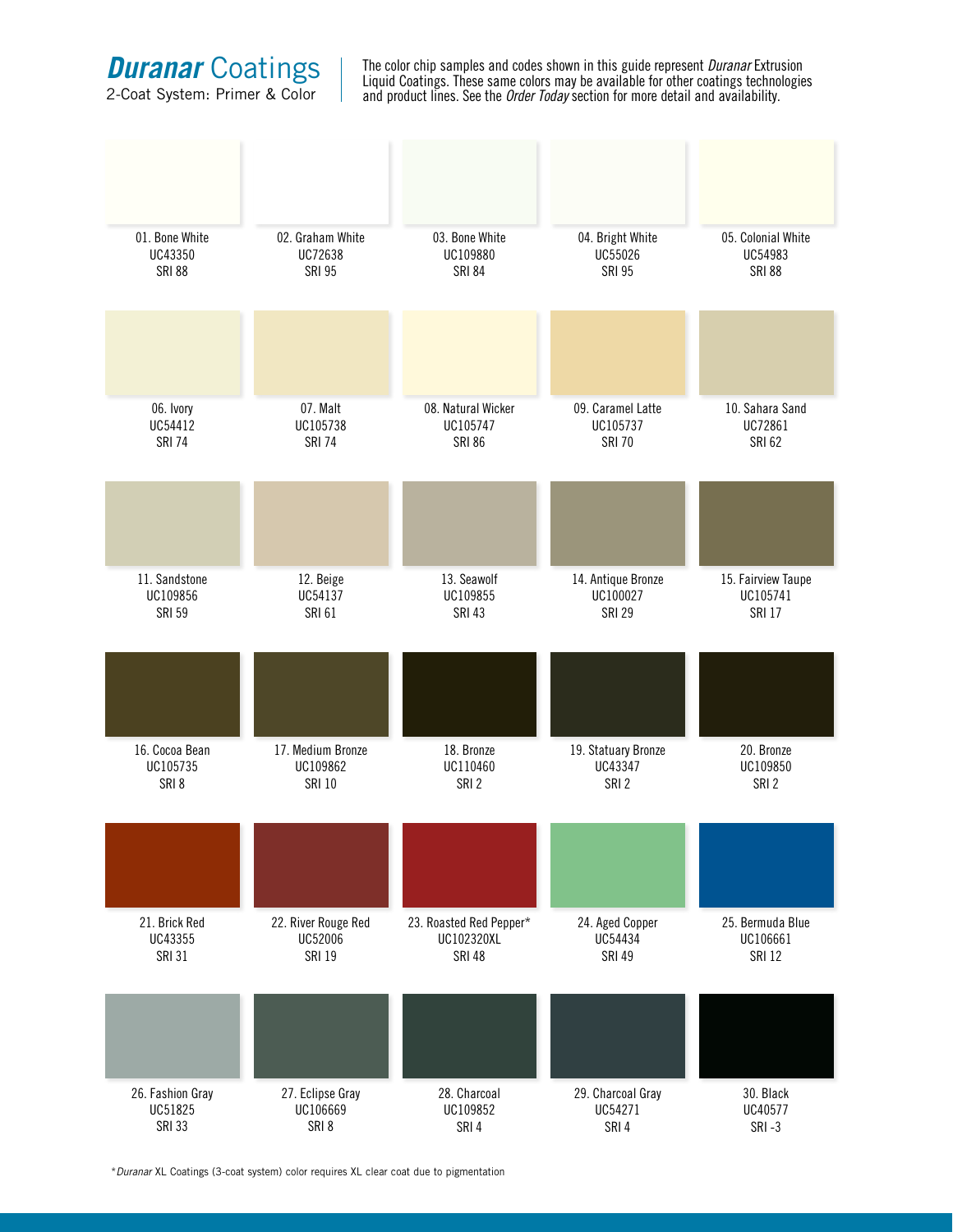**Duranar Coatings** 

2-Coat System: Primer & Color

The color chip samples and codes shown in this guide represent *Duranar* Extrusion Liquid Coatings. These same colors may be available for other coatings technologies and product lines. See the *Order Today* section for more detail and availability.

| 01. Bone White   | 02. Graham White    | 03. Bone White          | 04. Bright White    | 05. Colonial White |
|------------------|---------------------|-------------------------|---------------------|--------------------|
| UC43350          | UC72638             | UC109880                | UC55026             | UC54983            |
| <b>SRI 88</b>    | <b>SRI 95</b>       | <b>SRI 84</b>           | <b>SRI 95</b>       | <b>SRI 88</b>      |
|                  |                     |                         |                     |                    |
| 06. Ivory        | 07. Malt            | 08. Natural Wicker      | 09. Caramel Latte   | 10. Sahara Sand    |
| UC54412          | UC105738            | UC105747                | UC105737            | UC72861            |
| <b>SRI 74</b>    | <b>SRI 74</b>       | <b>SRI 86</b>           | <b>SRI 70</b>       | <b>SRI 62</b>      |
|                  |                     |                         |                     |                    |
| 11. Sandstone    | 12. Beige           | 13. Seawolf             | 14. Antique Bronze  | 15. Fairview Taupe |
| UC109856         | UC54137             | UC109855                | UC100027            | UC105741           |
| <b>SRI 59</b>    | <b>SRI 61</b>       | <b>SRI 43</b>           | <b>SRI 29</b>       | <b>SRI 17</b>      |
|                  |                     |                         |                     |                    |
| 16. Cocoa Bean   | 17. Medium Bronze   | 18. Bronze              | 19. Statuary Bronze | 20. Bronze         |
| UC105735         | UC109862            | UC110460                | UC43347             | UC109850           |
| SRI8             | <b>SRI 10</b>       | SRI <sub>2</sub>        | SRI <sub>2</sub>    | SRI <sub>2</sub>   |
|                  |                     |                         |                     |                    |
| 21. Brick Red    | 22. River Rouge Red | 23. Roasted Red Pepper* | 24. Aged Copper     | 25. Bermuda Blue   |
| UC43355          | UC52006             | UC102320XL              | UC54434             | UC106661           |
| <b>SRI 31</b>    | <b>SRI 19</b>       | <b>SRI 48</b>           | <b>SRI 49</b>       | <b>SRI 12</b>      |
|                  |                     |                         |                     |                    |
| 26. Fashion Gray | 27. Eclipse Gray    | 28. Charcoal            | 29. Charcoal Gray   | 30. Black          |
| UC51825          | UC106669            | UC109852                | UC54271             | UC40577            |
| <b>SRI 33</b>    | SRI 8               | SRI 4                   | SRI 4               | SRI-3              |

\**Duranar* XL Coatings (3-coat system) color requires XL clear coat due to pigmentation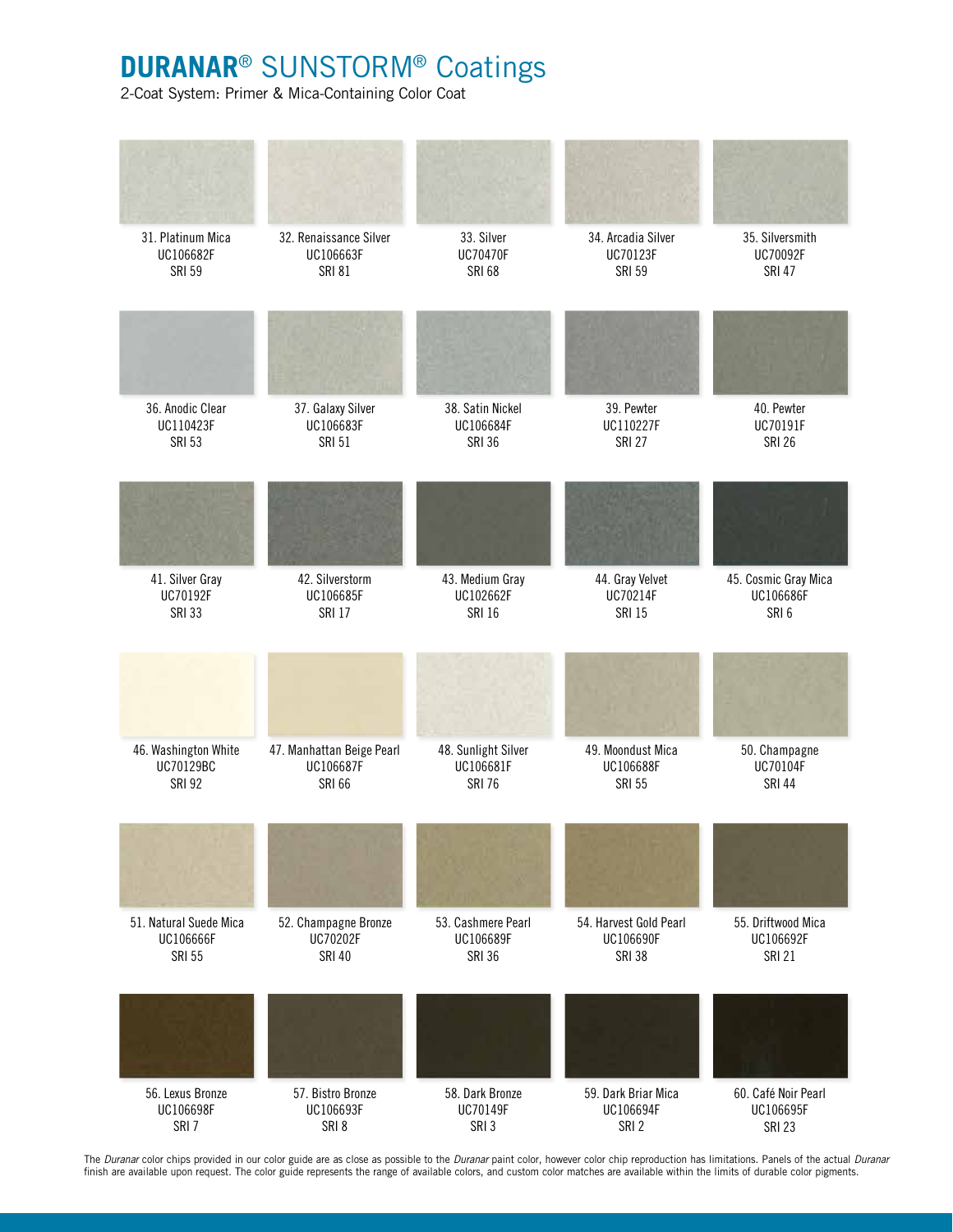## **Duranar**® Sunstorm® Coatings

2-Coat System: Primer & Mica-Containing Color Coat



The *Duranar* color chips provided in our color guide are as close as possible to the *Duranar* paint color, however color chip reproduction has limitations. Panels of the actual *Duranar* finish are available upon request. The color guide represents the range of available colors, and custom color matches are available within the limits of durable color pigments.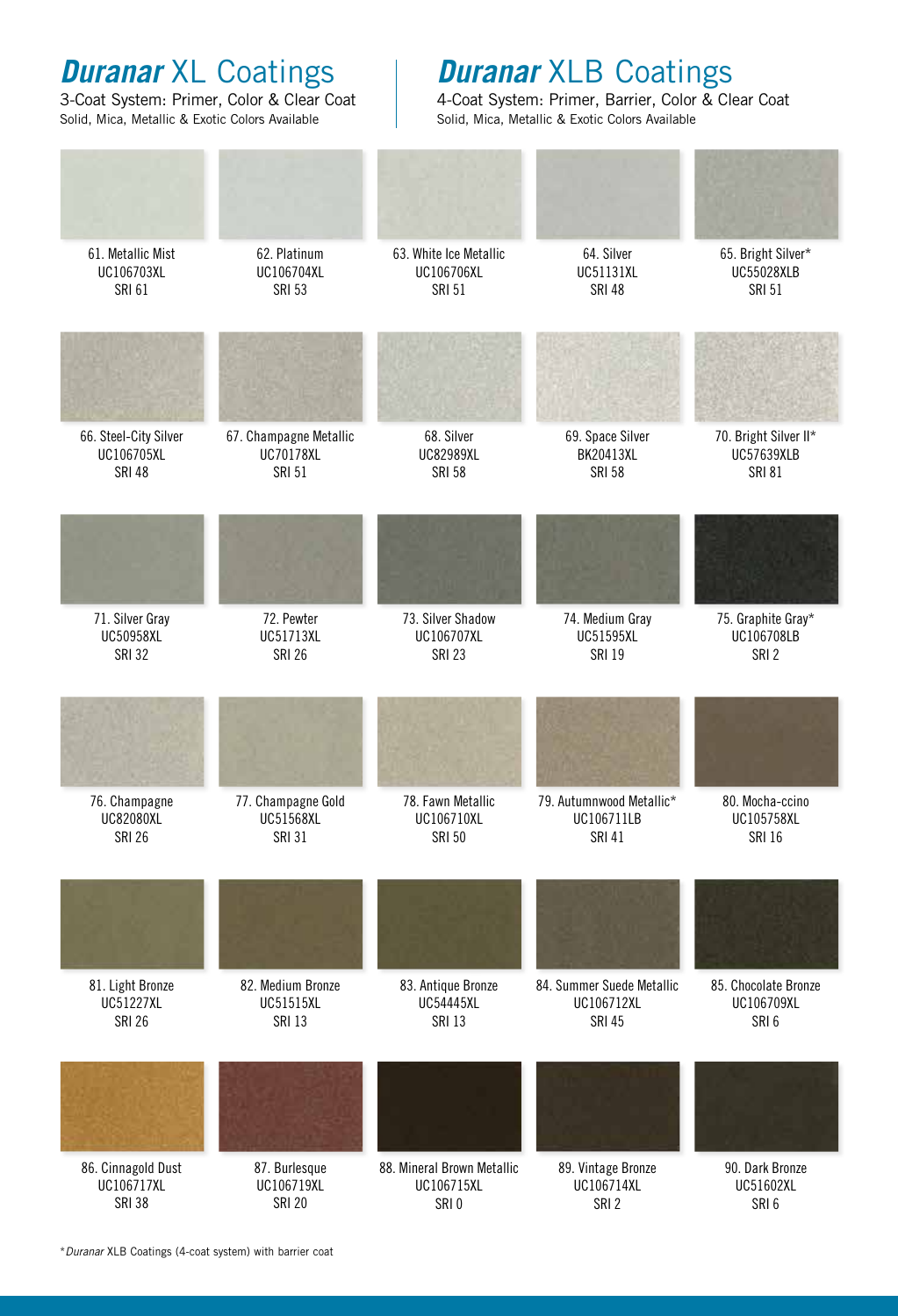# *Duranar* XL Coatings

3-Coat System: Primer, Color & Clear Coat Solid, Mica, Metallic & Exotic Colors Available

## *Duranar* XLB Coatings

4-Coat System: Primer, Barrier, Color & Clear Coat Solid, Mica, Metallic & Exotic Colors Available

| 61. Metallic Mist     | 62. Platinum           | 63. White Ice Metallic     | 64. Silver                | 65. Bright Silver*    |
|-----------------------|------------------------|----------------------------|---------------------------|-----------------------|
| UC106703XL            | UC106704XL             | UC106706XL                 | UC51131XL                 | <b>UC55028XLB</b>     |
| <b>SRI 61</b>         | <b>SRI 53</b>          | <b>SRI 51</b>              | <b>SRI 48</b>             | <b>SRI 51</b>         |
|                       |                        |                            |                           |                       |
| 66. Steel-City Silver | 67. Champagne Metallic | 68. Silver                 | 69. Space Silver          | 70. Bright Silver II* |
| UC106705XL            | UC70178XL              | UC82989XL                  | BK20413XL                 | <b>UC57639XLB</b>     |
| <b>SRI 48</b>         | <b>SRI 51</b>          | <b>SRI 58</b>              | <b>SRI 58</b>             | <b>SRI 81</b>         |
|                       |                        |                            |                           |                       |
| 71. Silver Gray       | 72. Pewter             | 73. Silver Shadow          | 74. Medium Gray           | 75. Graphite Gray*    |
| UC50958XL             | UC51713XL              | UC106707XL                 | UC51595XL                 | UC106708LB            |
| <b>SRI 32</b>         | <b>SRI 26</b>          | <b>SRI 23</b>              | <b>SRI 19</b>             | SRI <sub>2</sub>      |
|                       |                        |                            |                           |                       |
| 76. Champagne         | 77. Champagne Gold     | 78. Fawn Metallic          | 79. Autumnwood Metallic*  | 80. Mocha-ccino       |
| <b>UC82080XL</b>      | UC51568XL              | UC106710XL                 | UC106711LB                | UC105758XL            |
| <b>SRI 26</b>         | <b>SRI 31</b>          | <b>SRI 50</b>              | <b>SRI 41</b>             | <b>SRI 16</b>         |
|                       |                        |                            |                           |                       |
| 81. Light Bronze      | 82. Medium Bronze      | 83. Antique Bronze         | 84. Summer Suede Metallic | 85. Chocolate Bronze  |
| UC51227XL             | UC51515XL              | <b>UC54445XL</b>           | UC106712XL                | UC106709XL            |
| <b>SRI 26</b>         | <b>SRI 13</b>          | <b>SRI 13</b>              | <b>SRI 45</b>             | SRI <sub>6</sub>      |
|                       |                        |                            |                           |                       |
| 86. Cinnagold Dust    | 87. Burlesque          | 88. Mineral Brown Metallic | 89. Vintage Bronze        | 90. Dark Bronze       |
| UC106717XL            | UC106719XL             | UC106715XL                 | UC106714XL                | UC51602XL             |
| <b>SRI 38</b>         | <b>SRI 20</b>          | SRI <sub>0</sub>           | SRI <sub>2</sub>          | SRI <sub>6</sub>      |